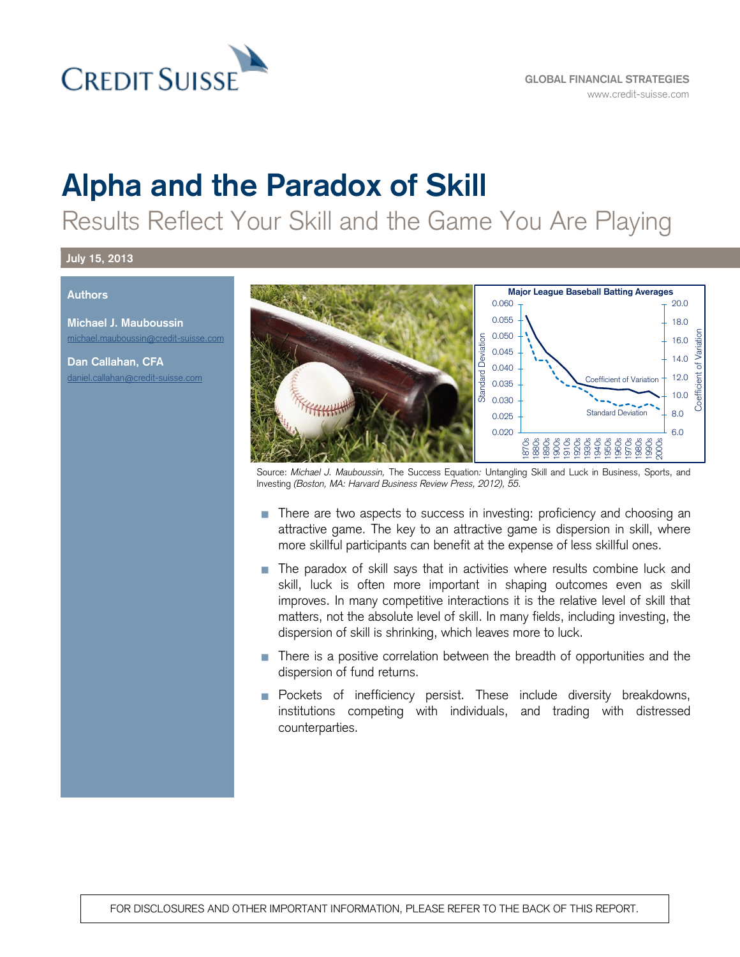

# **Alpha and the Paradox of Skill**

Results Reflect Your Skill and the Game You Are Playing

#### **July 15, 2013**

#### **Authors**

**Michael J. Mauboussin** [michael.mauboussin@credit-suisse.com](mailto:michael.mauboussin@credit-suisse.com)

**Dan Callahan, CFA** [daniel.callahan@credit-suisse.com](mailto:daniel.callahan@credit-suisse.com)



Source: *Michael J. Mauboussin,* The Success Equation*:* Untangling Skill and Luck in Business, Sports, and Investing *(Boston, MA: Harvard Business Review Press, 2012), 55.*

- There are two aspects to success in investing: proficiency and choosing an attractive game. The key to an attractive game is dispersion in skill, where more skillful participants can benefit at the expense of less skillful ones.
- **The paradox of skill says that in activities where results combine luck and** skill, luck is often more important in shaping outcomes even as skill improves. In many competitive interactions it is the relative level of skill that matters, not the absolute level of skill. In many fields, including investing, the dispersion of skill is shrinking, which leaves more to luck.
- There is a positive correlation between the breadth of opportunities and the dispersion of fund returns.
- **Pockets** of inefficiency persist. These include diversity breakdowns, institutions competing with individuals, and trading with distressed counterparties.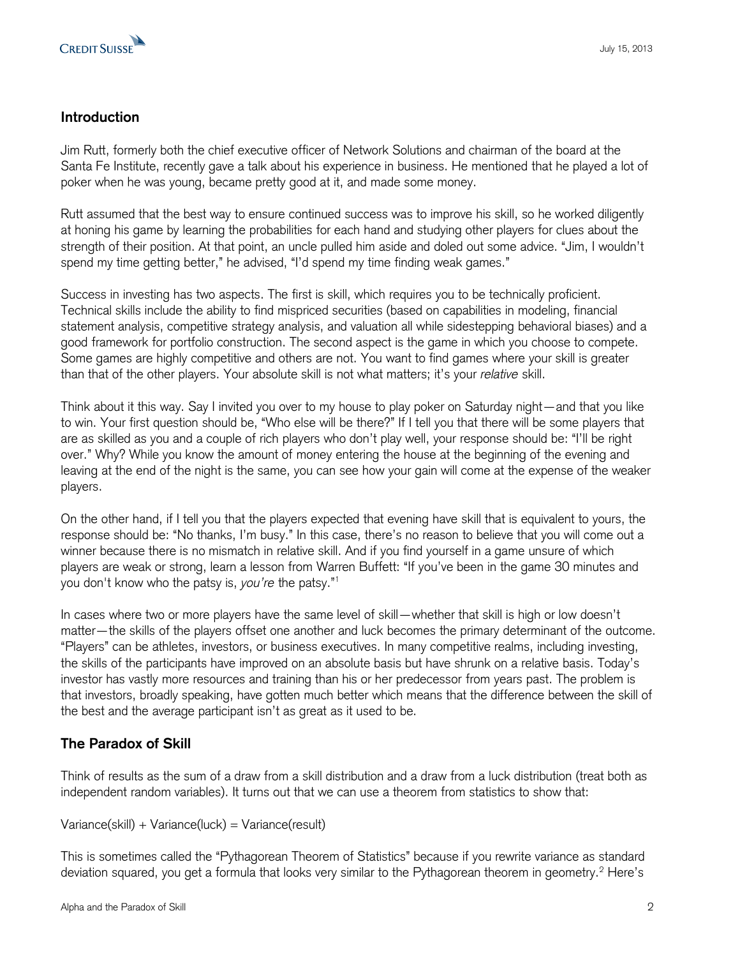

#### **Introduction**

Jim Rutt, formerly both the chief executive officer of Network Solutions and chairman of the board at the Santa Fe Institute, recently gave a talk about his experience in business. He mentioned that he played a lot of poker when he was young, became pretty good at it, and made some money.

Rutt assumed that the best way to ensure continued success was to improve his skill, so he worked diligently at honing his game by learning the probabilities for each hand and studying other players for clues about the strength of their position. At that point, an uncle pulled him aside and doled out some advice. "Jim, I wouldn't spend my time getting better," he advised, "I'd spend my time finding weak games."

Success in investing has two aspects. The first is skill, which requires you to be technically proficient. Technical skills include the ability to find mispriced securities (based on capabilities in modeling, financial statement analysis, competitive strategy analysis, and valuation all while sidestepping behavioral biases) and a good framework for portfolio construction. The second aspect is the game in which you choose to compete. Some games are highly competitive and others are not. You want to find games where your skill is greater than that of the other players. Your absolute skill is not what matters; it's your *relative* skill.

Think about it this way. Say I invited you over to my house to play poker on Saturday night—and that you like to win. Your first question should be, "Who else will be there?" If I tell you that there will be some players that are as skilled as you and a couple of rich players who don't play well, your response should be: "I'll be right over." Why? While you know the amount of money entering the house at the beginning of the evening and leaving at the end of the night is the same, you can see how your gain will come at the expense of the weaker players.

On the other hand, if I tell you that the players expected that evening have skill that is equivalent to yours, the response should be: "No thanks, I'm busy." In this case, there's no reason to believe that you will come out a winner because there is no mismatch in relative skill. And if you find yourself in a game unsure of which players are weak or strong, learn a lesson from Warren Buffett: "If you've been in the game 30 minutes and you don't know who the patsy is, *you're* the patsy."<sup>1</sup>

In cases where two or more players have the same level of skill—whether that skill is high or low doesn't matter—the skills of the players offset one another and luck becomes the primary determinant of the outcome. "Players" can be athletes, investors, or business executives. In many competitive realms, including investing, the skills of the participants have improved on an absolute basis but have shrunk on a relative basis. Today's investor has vastly more resources and training than his or her predecessor from years past. The problem is that investors, broadly speaking, have gotten much better which means that the difference between the skill of the best and the average participant isn't as great as it used to be.

## **The Paradox of Skill**

Think of results as the sum of a draw from a skill distribution and a draw from a luck distribution (treat both as independent random variables). It turns out that we can use a theorem from statistics to show that:

 $Variance(skill) + Variance(luck) = Variance(result)$ 

This is sometimes called the "Pythagorean Theorem of Statistics" because if you rewrite variance as standard deviation squared, you get a formula that looks very similar to the Pythagorean theorem in geometry.<sup>2</sup> Here's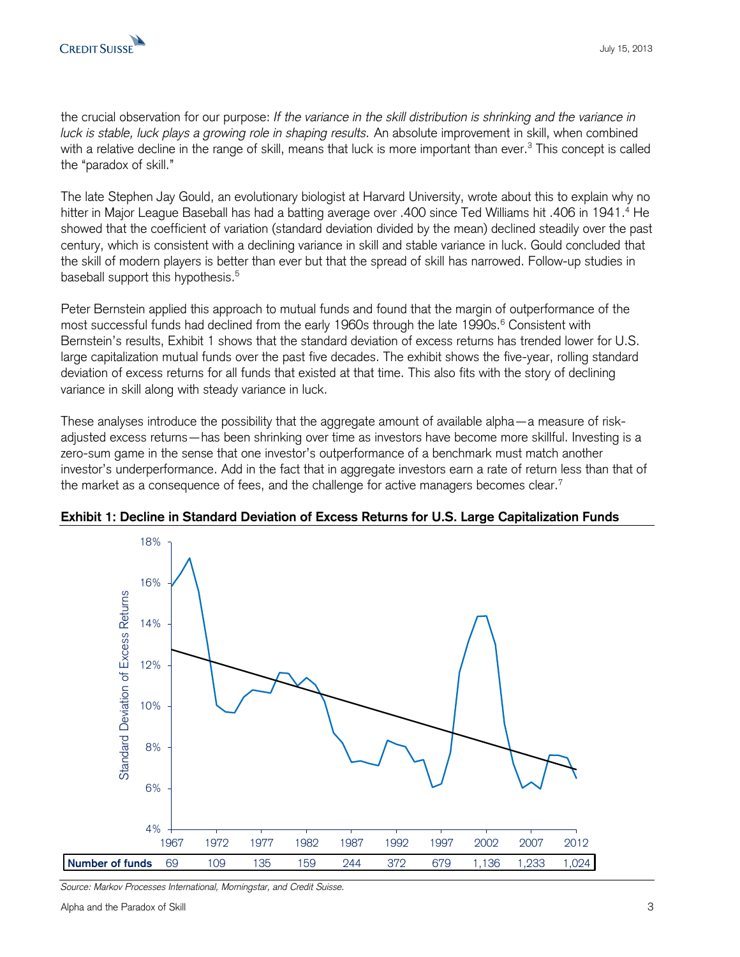the crucial observation for our purpose: *If the variance in the skill distribution is shrinking and the variance in luck is stable, luck plays a growing role in shaping results.* An absolute improvement in skill, when combined with a relative decline in the range of skill, means that luck is more important than ever.<sup>3</sup> This concept is called the "paradox of skill."

The late Stephen Jay Gould, an evolutionary biologist at Harvard University, wrote about this to explain why no hitter in Major League Baseball has had a batting average over .400 since Ted Williams hit .406 in 1941.<sup>4</sup> He showed that the coefficient of variation (standard deviation divided by the mean) declined steadily over the past century, which is consistent with a declining variance in skill and stable variance in luck. Gould concluded that the skill of modern players is better than ever but that the spread of skill has narrowed. Follow-up studies in baseball support this hypothesis.<sup>5</sup>

Peter Bernstein applied this approach to mutual funds and found that the margin of outperformance of the most successful funds had declined from the early 1960s through the late 1990s.<sup>6</sup> Consistent with Bernstein's results, Exhibit 1 shows that the standard deviation of excess returns has trended lower for U.S. large capitalization mutual funds over the past five decades. The exhibit shows the five-year, rolling standard deviation of excess returns for all funds that existed at that time. This also fits with the story of declining variance in skill along with steady variance in luck.

These analyses introduce the possibility that the aggregate amount of available alpha—a measure of riskadjusted excess returns—has been shrinking over time as investors have become more skillful. Investing is a zero-sum game in the sense that one investor's outperformance of a benchmark must match another investor's underperformance. Add in the fact that in aggregate investors earn a rate of return less than that of the market as a consequence of fees, and the challenge for active managers becomes clear.<sup>7</sup>



Exhibit 1: Decline in Standard Deviation of Excess Returns for U.S. Large Capitalization Funds

*Source: Markov Processes International, Morningstar, and Credit Suisse.*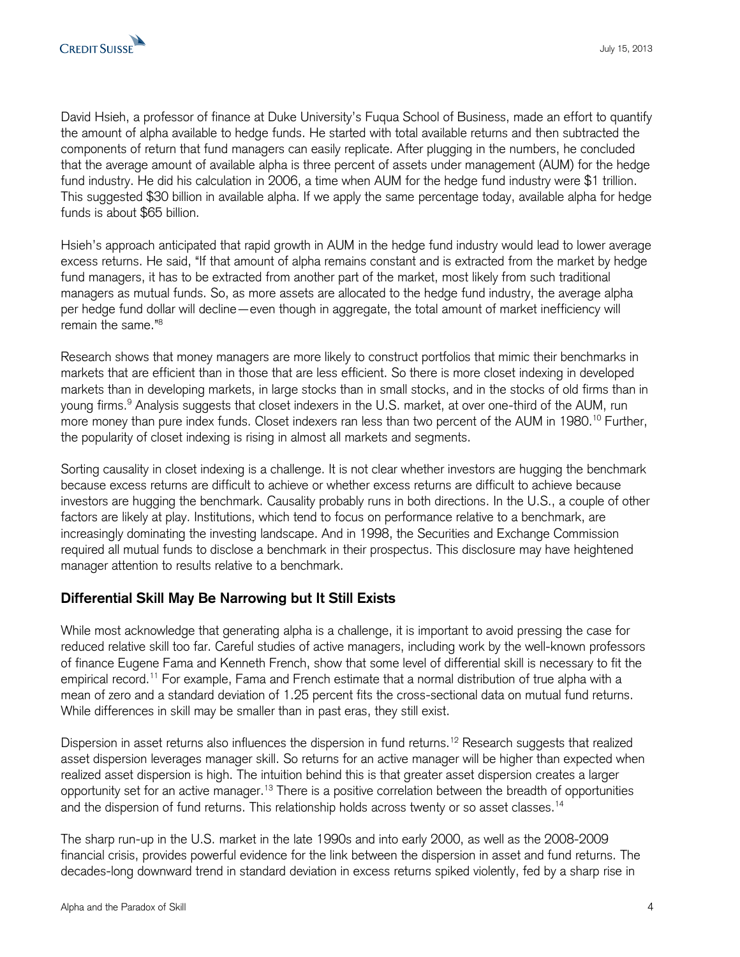

David Hsieh, a professor of finance at Duke University's Fuqua School of Business, made an effort to quantify the amount of alpha available to hedge funds. He started with total available returns and then subtracted the components of return that fund managers can easily replicate. After plugging in the numbers, he concluded that the average amount of available alpha is three percent of assets under management (AUM) for the hedge fund industry. He did his calculation in 2006, a time when AUM for the hedge fund industry were \$1 trillion. This suggested \$30 billion in available alpha. If we apply the same percentage today, available alpha for hedge funds is about \$65 billion.

Hsieh's approach anticipated that rapid growth in AUM in the hedge fund industry would lead to lower average excess returns. He said, "If that amount of alpha remains constant and is extracted from the market by hedge fund managers, it has to be extracted from another part of the market, most likely from such traditional managers as mutual funds. So, as more assets are allocated to the hedge fund industry, the average alpha per hedge fund dollar will decline—even though in aggregate, the total amount of market inefficiency will remain the same."<sup>8</sup>

Research shows that money managers are more likely to construct portfolios that mimic their benchmarks in markets that are efficient than in those that are less efficient. So there is more closet indexing in developed markets than in developing markets, in large stocks than in small stocks, and in the stocks of old firms than in young firms.<sup>9</sup> Analysis suggests that closet indexers in the U.S. market, at over one-third of the AUM, run more money than pure index funds. Closet indexers ran less than two percent of the AUM in 1980.<sup>10</sup> Further, the popularity of closet indexing is rising in almost all markets and segments.

Sorting causality in closet indexing is a challenge. It is not clear whether investors are hugging the benchmark because excess returns are difficult to achieve or whether excess returns are difficult to achieve because investors are hugging the benchmark. Causality probably runs in both directions. In the U.S., a couple of other factors are likely at play. Institutions, which tend to focus on performance relative to a benchmark, are increasingly dominating the investing landscape. And in 1998, the Securities and Exchange Commission required all mutual funds to disclose a benchmark in their prospectus. This disclosure may have heightened manager attention to results relative to a benchmark.

## **Differential Skill May Be Narrowing but It Still Exists**

While most acknowledge that generating alpha is a challenge, it is important to avoid pressing the case for reduced relative skill too far. Careful studies of active managers, including work by the well-known professors of finance Eugene Fama and Kenneth French, show that some level of differential skill is necessary to fit the empirical record.<sup>11</sup> For example, Fama and French estimate that a normal distribution of true alpha with a mean of zero and a standard deviation of 1.25 percent fits the cross-sectional data on mutual fund returns. While differences in skill may be smaller than in past eras, they still exist.

Dispersion in asset returns also influences the dispersion in fund returns.<sup>12</sup> Research suggests that realized asset dispersion leverages manager skill. So returns for an active manager will be higher than expected when realized asset dispersion is high. The intuition behind this is that greater asset dispersion creates a larger opportunity set for an active manager.<sup>13</sup> There is a positive correlation between the breadth of opportunities and the dispersion of fund returns. This relationship holds across twenty or so asset classes.<sup>14</sup>

The sharp run-up in the U.S. market in the late 1990s and into early 2000, as well as the 2008-2009 financial crisis, provides powerful evidence for the link between the dispersion in asset and fund returns. The decades-long downward trend in standard deviation in excess returns spiked violently, fed by a sharp rise in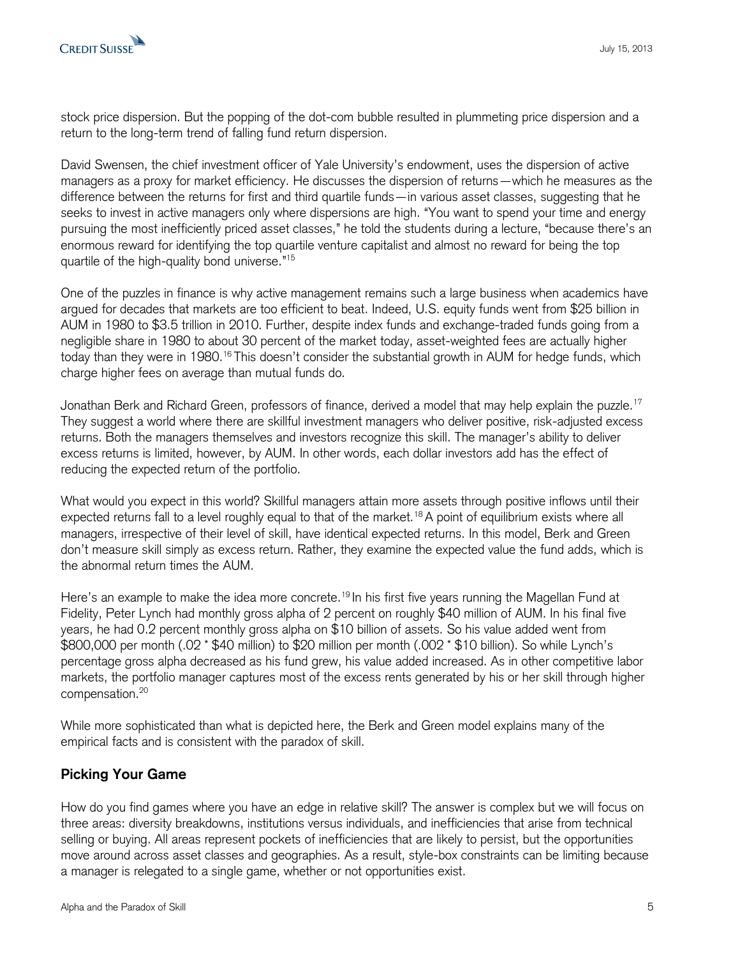stock price dispersion. But the popping of the dot-com bubble resulted in plummeting price dispersion and a return to the long-term trend of falling fund return dispersion.

David Swensen, the chief investment officer of Yale University's endowment, uses the dispersion of active managers as a proxy for market efficiency. He discusses the dispersion of returns—which he measures as the difference between the returns for first and third quartile funds—in various asset classes, suggesting that he seeks to invest in active managers only where dispersions are high. "You want to spend your time and energy pursuing the most inefficiently priced asset classes," he told the students during a lecture, "because there's an enormous reward for identifying the top quartile venture capitalist and almost no reward for being the top quartile of the high-quality bond universe."<sup>15</sup>

One of the puzzles in finance is why active management remains such a large business when academics have argued for decades that markets are too efficient to beat. Indeed, U.S. equity funds went from \$25 billion in AUM in 1980 to \$3.5 trillion in 2010. Further, despite index funds and exchange-traded funds going from a negligible share in 1980 to about 30 percent of the market today, asset-weighted fees are actually higher today than they were in 1980.<sup>16</sup> This doesn't consider the substantial growth in AUM for hedge funds, which charge higher fees on average than mutual funds do.

Jonathan Berk and Richard Green, professors of finance, derived a model that may help explain the puzzle.<sup>17</sup> They suggest a world where there are skillful investment managers who deliver positive, risk-adjusted excess returns. Both the managers themselves and investors recognize this skill. The manager's ability to deliver excess returns is limited, however, by AUM. In other words, each dollar investors add has the effect of reducing the expected return of the portfolio.

What would you expect in this world? Skillful managers attain more assets through positive inflows until their expected returns fall to a level roughly equal to that of the market.<sup>18</sup> A point of equilibrium exists where all managers, irrespective of their level of skill, have identical expected returns. In this model, Berk and Green don't measure skill simply as excess return. Rather, they examine the expected value the fund adds, which is the abnormal return times the AUM.

Here's an example to make the idea more concrete.<sup>19</sup> In his first five years running the Magellan Fund at Fidelity, Peter Lynch had monthly gross alpha of 2 percent on roughly \$40 million of AUM. In his final five years, he had 0.2 percent monthly gross alpha on \$10 billion of assets. So his value added went from \$800,000 per month (.02 \* \$40 million) to \$20 million per month (.002 \* \$10 billion). So while Lynch's percentage gross alpha decreased as his fund grew, his value added increased. As in other competitive labor markets, the portfolio manager captures most of the excess rents generated by his or her skill through higher compensation.<sup>20</sup>

While more sophisticated than what is depicted here, the Berk and Green model explains many of the empirical facts and is consistent with the paradox of skill.

## **Picking Your Game**

How do you find games where you have an edge in relative skill? The answer is complex but we will focus on three areas: diversity breakdowns, institutions versus individuals, and inefficiencies that arise from technical selling or buying. All areas represent pockets of inefficiencies that are likely to persist, but the opportunities move around across asset classes and geographies. As a result, style-box constraints can be limiting because a manager is relegated to a single game, whether or not opportunities exist.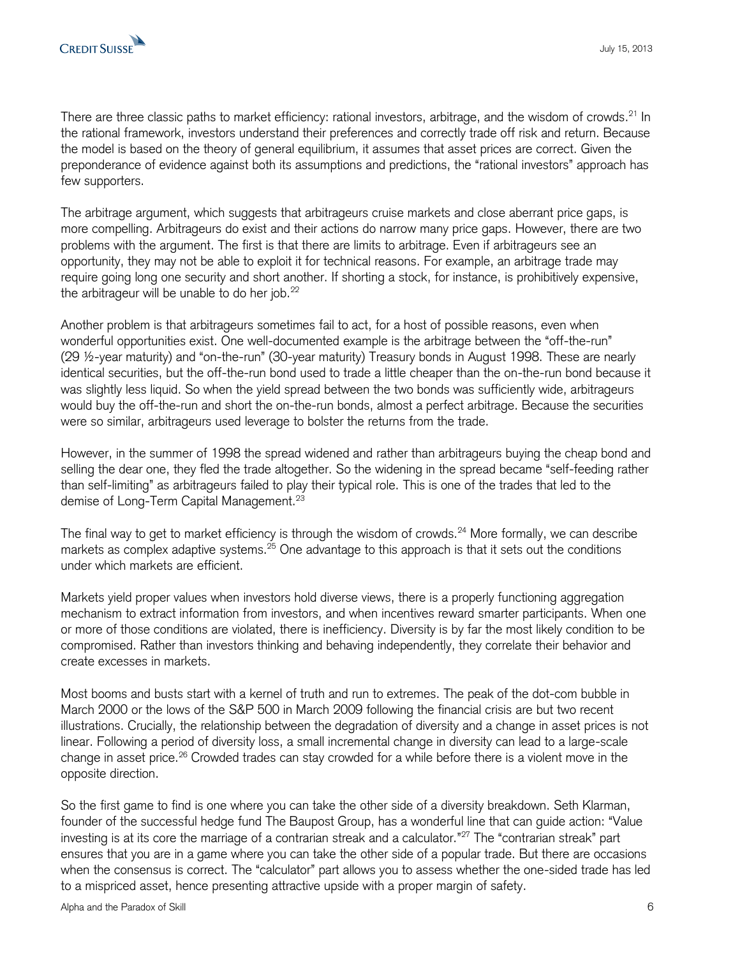There are three classic paths to market efficiency: rational investors, arbitrage, and the wisdom of crowds.<sup>21</sup> In the rational framework, investors understand their preferences and correctly trade off risk and return. Because the model is based on the theory of general equilibrium, it assumes that asset prices are correct. Given the preponderance of evidence against both its assumptions and predictions, the "rational investors" approach has few supporters.

The arbitrage argument, which suggests that arbitrageurs cruise markets and close aberrant price gaps, is more compelling. Arbitrageurs do exist and their actions do narrow many price gaps. However, there are two problems with the argument. The first is that there are limits to arbitrage. Even if arbitrageurs see an opportunity, they may not be able to exploit it for technical reasons. For example, an arbitrage trade may require going long one security and short another. If shorting a stock, for instance, is prohibitively expensive, the arbitrageur will be unable to do her job.<sup>22</sup>

Another problem is that arbitrageurs sometimes fail to act, for a host of possible reasons, even when wonderful opportunities exist. One well-documented example is the arbitrage between the "off-the-run" (29 ½-year maturity) and "on-the-run" (30-year maturity) Treasury bonds in August 1998. These are nearly identical securities, but the off-the-run bond used to trade a little cheaper than the on-the-run bond because it was slightly less liquid. So when the yield spread between the two bonds was sufficiently wide, arbitrageurs would buy the off-the-run and short the on-the-run bonds, almost a perfect arbitrage. Because the securities were so similar, arbitrageurs used leverage to bolster the returns from the trade.

However, in the summer of 1998 the spread widened and rather than arbitrageurs buying the cheap bond and selling the dear one, they fled the trade altogether. So the widening in the spread became "self-feeding rather than self-limiting" as arbitrageurs failed to play their typical role. This is one of the trades that led to the demise of Long-Term Capital Management.<sup>23</sup>

The final way to get to market efficiency is through the wisdom of crowds.<sup>24</sup> More formally, we can describe markets as complex adaptive systems.<sup>25</sup> One advantage to this approach is that it sets out the conditions under which markets are efficient.

Markets yield proper values when investors hold diverse views, there is a properly functioning aggregation mechanism to extract information from investors, and when incentives reward smarter participants. When one or more of those conditions are violated, there is inefficiency. Diversity is by far the most likely condition to be compromised. Rather than investors thinking and behaving independently, they correlate their behavior and create excesses in markets.

Most booms and busts start with a kernel of truth and run to extremes. The peak of the dot-com bubble in March 2000 or the lows of the S&P 500 in March 2009 following the financial crisis are but two recent illustrations. Crucially, the relationship between the degradation of diversity and a change in asset prices is not linear. Following a period of diversity loss, a small incremental change in diversity can lead to a large-scale change in asset price.<sup>26</sup> Crowded trades can stay crowded for a while before there is a violent move in the opposite direction.

So the first game to find is one where you can take the other side of a diversity breakdown. Seth Klarman, founder of the successful hedge fund The Baupost Group, has a wonderful line that can guide action: "Value investing is at its core the marriage of a contrarian streak and a calculator."<sup>27</sup> The "contrarian streak" part ensures that you are in a game where you can take the other side of a popular trade. But there are occasions when the consensus is correct. The "calculator" part allows you to assess whether the one-sided trade has led to a mispriced asset, hence presenting attractive upside with a proper margin of safety.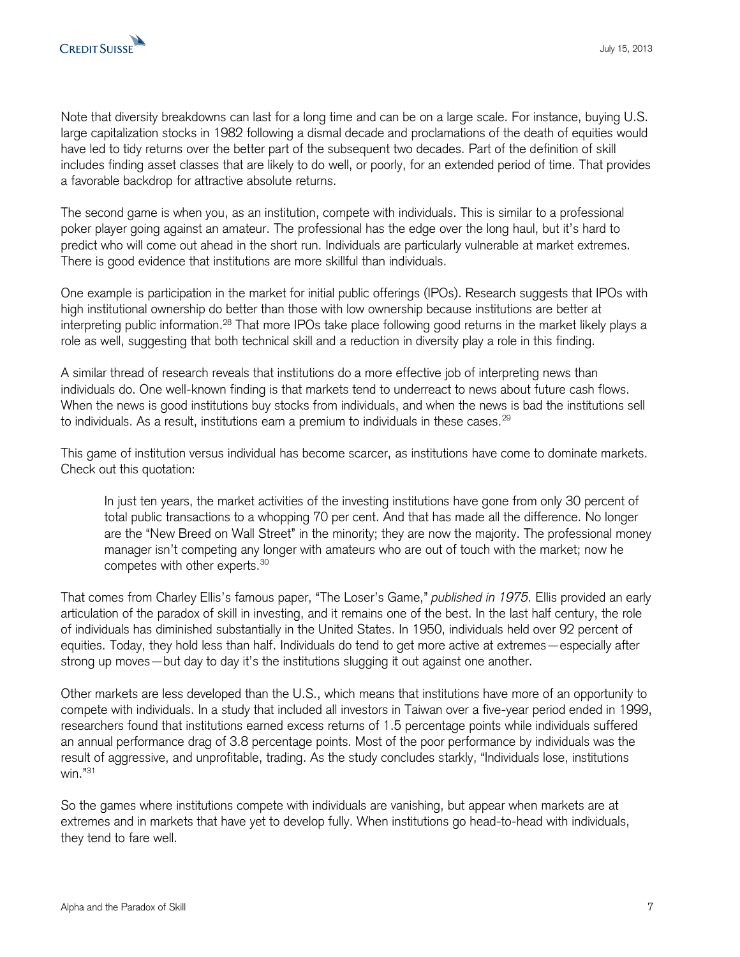Note that diversity breakdowns can last for a long time and can be on a large scale. For instance, buying U.S. large capitalization stocks in 1982 following a dismal decade and proclamations of the death of equities would have led to tidy returns over the better part of the subsequent two decades. Part of the definition of skill includes finding asset classes that are likely to do well, or poorly, for an extended period of time. That provides a favorable backdrop for attractive absolute returns.

The second game is when you, as an institution, compete with individuals. This is similar to a professional poker player going against an amateur. The professional has the edge over the long haul, but it's hard to predict who will come out ahead in the short run. Individuals are particularly vulnerable at market extremes. There is good evidence that institutions are more skillful than individuals.

One example is participation in the market for initial public offerings (IPOs). Research suggests that IPOs with high institutional ownership do better than those with low ownership because institutions are better at interpreting public information.<sup>28</sup> That more IPOs take place following good returns in the market likely plays a role as well, suggesting that both technical skill and a reduction in diversity play a role in this finding.

A similar thread of research reveals that institutions do a more effective job of interpreting news than individuals do. One well-known finding is that markets tend to underreact to news about future cash flows. When the news is good institutions buy stocks from individuals, and when the news is bad the institutions sell to individuals. As a result, institutions earn a premium to individuals in these cases. $^{\mathrm{29}}$ 

This game of institution versus individual has become scarcer, as institutions have come to dominate markets. Check out this quotation:

In just ten years, the market activities of the investing institutions have gone from only 30 percent of total public transactions to a whopping 70 per cent. And that has made all the difference. No longer are the "New Breed on Wall Street" in the minority; they are now the majority. The professional money manager isn't competing any longer with amateurs who are out of touch with the market; now he competes with other experts.<sup>30</sup>

That comes from Charley Ellis's famous paper, "The Loser's Game," *published in 1975.* Ellis provided an early articulation of the paradox of skill in investing, and it remains one of the best. In the last half century, the role of individuals has diminished substantially in the United States. In 1950, individuals held over 92 percent of equities. Today, they hold less than half. Individuals do tend to get more active at extremes—especially after strong up moves—but day to day it's the institutions slugging it out against one another.

Other markets are less developed than the U.S., which means that institutions have more of an opportunity to compete with individuals. In a study that included all investors in Taiwan over a five-year period ended in 1999, researchers found that institutions earned excess returns of 1.5 percentage points while individuals suffered an annual performance drag of 3.8 percentage points. Most of the poor performance by individuals was the result of aggressive, and unprofitable, trading. As the study concludes starkly, "Individuals lose, institutions win."<sup>31</sup>

So the games where institutions compete with individuals are vanishing, but appear when markets are at extremes and in markets that have yet to develop fully. When institutions go head-to-head with individuals, they tend to fare well.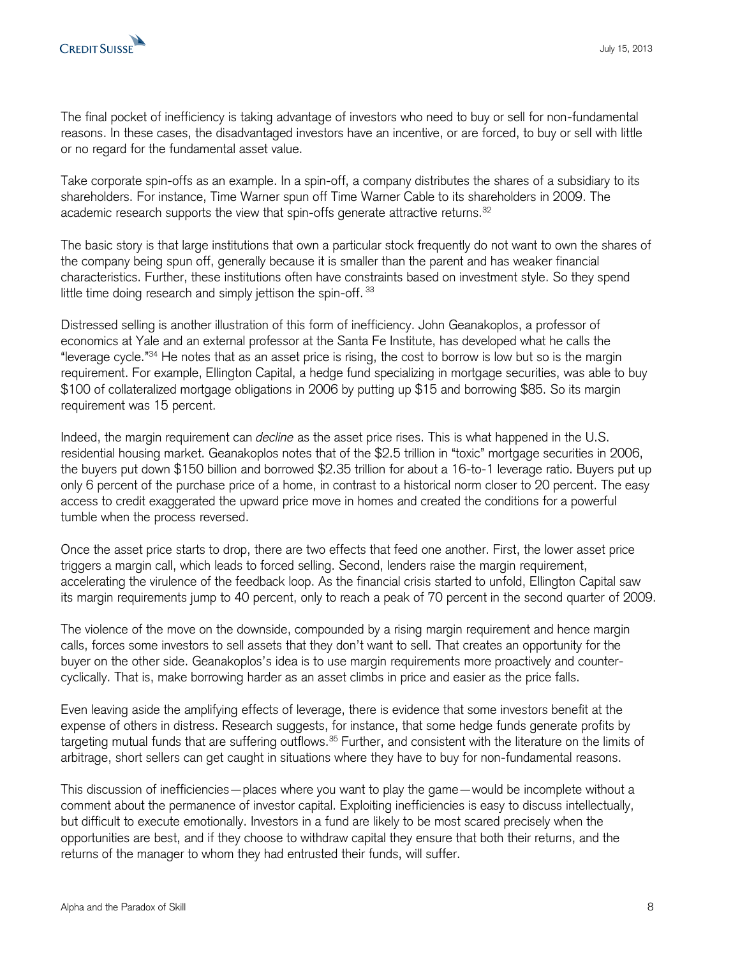The final pocket of inefficiency is taking advantage of investors who need to buy or sell for non-fundamental reasons. In these cases, the disadvantaged investors have an incentive, or are forced, to buy or sell with little or no regard for the fundamental asset value.

Take corporate spin-offs as an example. In a spin-off, a company distributes the shares of a subsidiary to its shareholders. For instance, Time Warner spun off Time Warner Cable to its shareholders in 2009. The academic research supports the view that spin-offs generate attractive returns. $^{32}$ 

The basic story is that large institutions that own a particular stock frequently do not want to own the shares of the company being spun off, generally because it is smaller than the parent and has weaker financial characteristics. Further, these institutions often have constraints based on investment style. So they spend little time doing research and simply jettison the spin-off. 33

Distressed selling is another illustration of this form of inefficiency. John Geanakoplos, a professor of economics at Yale and an external professor at the Santa Fe Institute, has developed what he calls the "leverage cycle."<sup>34</sup> He notes that as an asset price is rising, the cost to borrow is low but so is the margin requirement. For example, Ellington Capital, a hedge fund specializing in mortgage securities, was able to buy \$100 of collateralized mortgage obligations in 2006 by putting up \$15 and borrowing \$85. So its margin requirement was 15 percent.

Indeed, the margin requirement can *decline* as the asset price rises. This is what happened in the U.S. residential housing market. Geanakoplos notes that of the \$2.5 trillion in "toxic" mortgage securities in 2006, the buyers put down \$150 billion and borrowed \$2.35 trillion for about a 16-to-1 leverage ratio. Buyers put up only 6 percent of the purchase price of a home, in contrast to a historical norm closer to 20 percent. The easy access to credit exaggerated the upward price move in homes and created the conditions for a powerful tumble when the process reversed.

Once the asset price starts to drop, there are two effects that feed one another. First, the lower asset price triggers a margin call, which leads to forced selling. Second, lenders raise the margin requirement, accelerating the virulence of the feedback loop. As the financial crisis started to unfold, Ellington Capital saw its margin requirements jump to 40 percent, only to reach a peak of 70 percent in the second quarter of 2009.

The violence of the move on the downside, compounded by a rising margin requirement and hence margin calls, forces some investors to sell assets that they don't want to sell. That creates an opportunity for the buyer on the other side. Geanakoplos's idea is to use margin requirements more proactively and countercyclically. That is, make borrowing harder as an asset climbs in price and easier as the price falls.

Even leaving aside the amplifying effects of leverage, there is evidence that some investors benefit at the expense of others in distress. Research suggests, for instance, that some hedge funds generate profits by targeting mutual funds that are suffering outflows.<sup>35</sup> Further, and consistent with the literature on the limits of arbitrage, short sellers can get caught in situations where they have to buy for non-fundamental reasons.

This discussion of inefficiencies—places where you want to play the game—would be incomplete without a comment about the permanence of investor capital. Exploiting inefficiencies is easy to discuss intellectually, but difficult to execute emotionally. Investors in a fund are likely to be most scared precisely when the opportunities are best, and if they choose to withdraw capital they ensure that both their returns, and the returns of the manager to whom they had entrusted their funds, will suffer.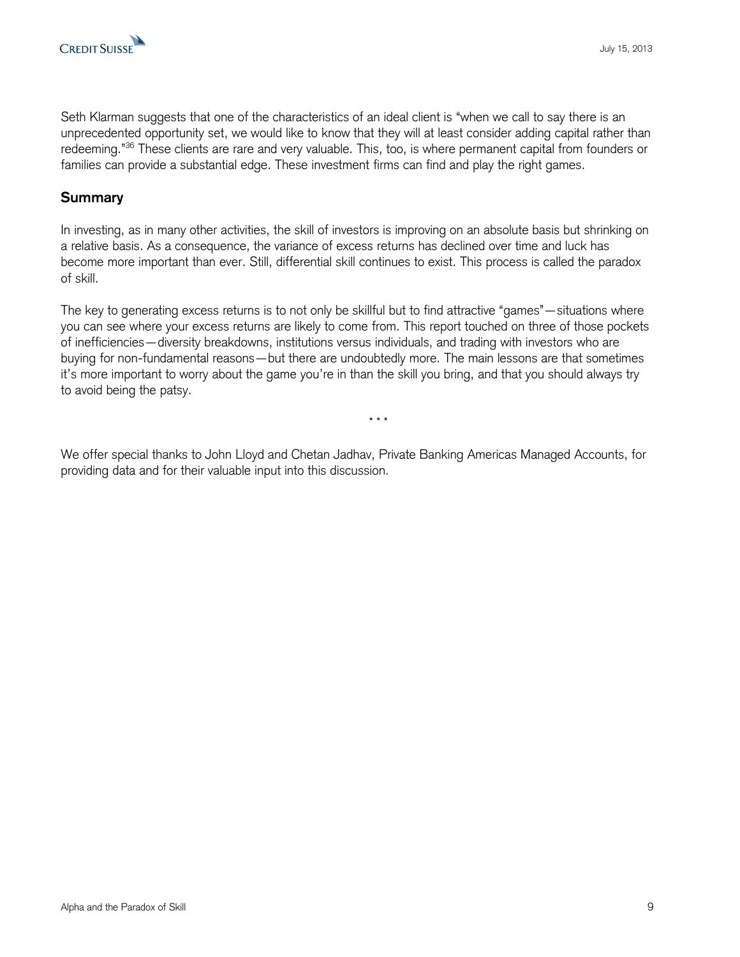

Seth Klarman suggests that one of the characteristics of an ideal client is "when we call to say there is an unprecedented opportunity set, we would like to know that they will at least consider adding capital rather than redeeming."<sup>36</sup> These clients are rare and very valuable. This, too, is where permanent capital from founders or families can provide a substantial edge. These investment firms can find and play the right games.

#### **Summary**

In investing, as in many other activities, the skill of investors is improving on an absolute basis but shrinking on a relative basis. As a consequence, the variance of excess returns has declined over time and luck has become more important than ever. Still, differential skill continues to exist. This process is called the paradox of skill.

The key to generating excess returns is to not only be skillful but to find attractive "games"—situations where you can see where your excess returns are likely to come from. This report touched on three of those pockets of inefficiencies—diversity breakdowns, institutions versus individuals, and trading with investors who are buying for non-fundamental reasons—but there are undoubtedly more. The main lessons are that sometimes it's more important to worry about the game you're in than the skill you bring, and that you should always try to avoid being the patsy.

\* \* \*

We offer special thanks to John Lloyd and Chetan Jadhav, Private Banking Americas Managed Accounts, for providing data and for their valuable input into this discussion.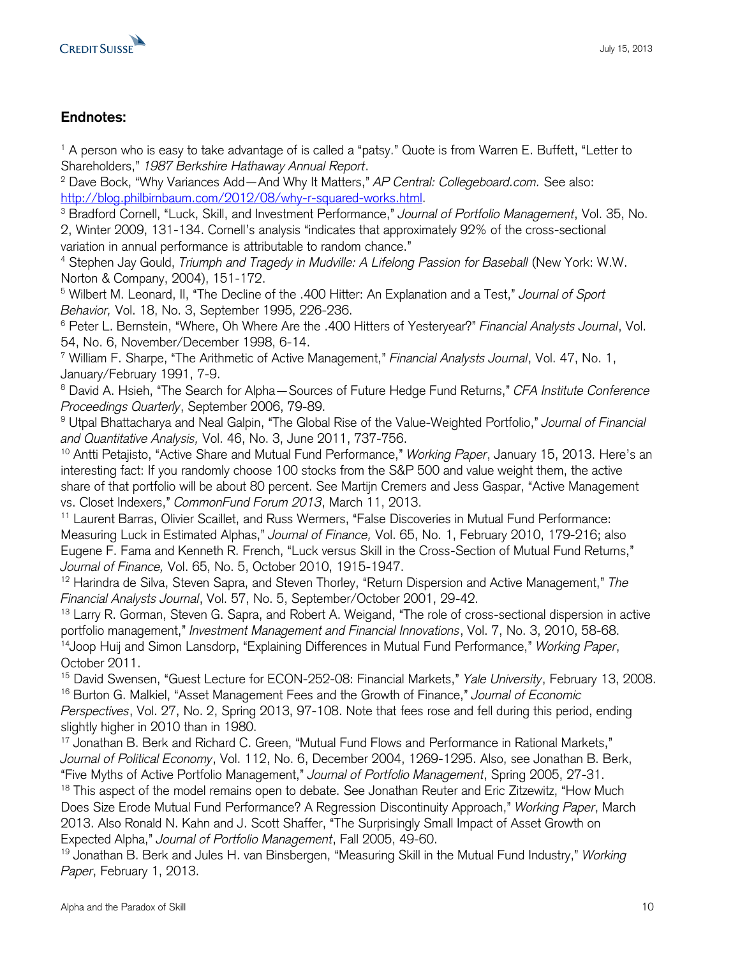

## **Endnotes:**

<sup>1</sup> A person who is easy to take advantage of is called a "patsy." Quote is from Warren E. Buffett, "Letter to Shareholders," *1987 Berkshire Hathaway Annual Report*.

<sup>2</sup> Dave Bock, "Why Variances Add—And Why It Matters," *AP Central: Collegeboard.com.* See also: [http://blog.philbirnbaum.com/2012/08/why-r-squared-works.html.](http://blog.philbirnbaum.com/2012/08/why-r-squared-works.html)

<sup>3</sup> Bradford Cornell, "Luck, Skill, and Investment Performance," *Journal of Portfolio Management*, Vol. 35, No. 2, Winter 2009, 131-134. Cornell's analysis "indicates that approximately 92% of the cross-sectional variation in annual performance is attributable to random chance."

<sup>4</sup> Stephen Jay Gould, *Triumph and Tragedy in Mudville: A Lifelong Passion for Baseball* (New York: W.W. Norton & Company, 2004), 151-172.

<sup>5</sup> Wilbert M. Leonard, II, "The Decline of the .400 Hitter: An Explanation and a Test," *Journal of Sport Behavior,* Vol. 18, No. 3, September 1995, 226-236.

<sup>6</sup> Peter L. Bernstein, "Where, Oh Where Are the .400 Hitters of Yesteryear?" *Financial Analysts Journal*, Vol. 54, No. 6, November/December 1998, 6-14.

<sup>7</sup> William F. Sharpe, "The Arithmetic of Active Management," *Financial Analysts Journal*, Vol. 47, No. 1, January/February 1991, 7-9.

<sup>8</sup> David A. Hsieh, "The Search for Alpha—Sources of Future Hedge Fund Returns," *CFA Institute Conference Proceedings Quarterly*, September 2006, 79-89.

<sup>9</sup> Utpal Bhattacharya and Neal Galpin, "The Global Rise of the Value-Weighted Portfolio," *Journal of Financial and Quantitative Analysis,* Vol. 46, No. 3, June 2011, 737-756.

<sup>10</sup> Antti Petajisto, "Active Share and Mutual Fund Performance," *Working Paper*, January 15, 2013. Here's an interesting fact: If you randomly choose 100 stocks from the S&P 500 and value weight them, the active share of that portfolio will be about 80 percent. See Martijn Cremers and Jess Gaspar, "Active Management vs. Closet Indexers," *CommonFund Forum 2013*, March 11, 2013.

<sup>11</sup> Laurent Barras, Olivier Scaillet, and Russ Wermers, "False Discoveries in Mutual Fund Performance: Measuring Luck in Estimated Alphas," *Journal of Finance,* Vol. 65, No. 1, February 2010, 179-216; also Eugene F. Fama and Kenneth R. French, "Luck versus Skill in the Cross-Section of Mutual Fund Returns," *Journal of Finance,* Vol. 65, No. 5, October 2010, 1915-1947.

<sup>12</sup> Harindra de Silva, Steven Sapra, and Steven Thorley, "Return Dispersion and Active Management," *The Financial Analysts Journal*, Vol. 57, No. 5, September/October 2001, 29-42.

<sup>13</sup> Larry R. Gorman, Steven G. Sapra, and Robert A. Weigand, "The role of cross-sectional dispersion in active portfolio management," *Investment Management and Financial Innovations*, Vol. 7, No. 3, 2010, 58-68. <sup>14</sup>Joop Huij and Simon Lansdorp, "Explaining Differences in Mutual Fund Performance," *Working Paper*, October 2011.

<sup>15</sup> David Swensen, "Guest Lecture for ECON-252-08: Financial Markets," *Yale University*, February 13, 2008. <sup>16</sup> Burton G. Malkiel, "Asset Management Fees and the Growth of Finance," *Journal of Economic Perspectives*, Vol. 27, No. 2, Spring 2013, 97-108. Note that fees rose and fell during this period, ending slightly higher in 2010 than in 1980.

<sup>17</sup> Jonathan B. Berk and Richard C. Green, "Mutual Fund Flows and Performance in Rational Markets," *Journal of Political Economy*, Vol. 112, No. 6, December 2004, 1269-1295. Also, see Jonathan B. Berk, "Five Myths of Active Portfolio Management," *Journal of Portfolio Management*, Spring 2005, 27-31.

<sup>18</sup> This aspect of the model remains open to debate. See Jonathan Reuter and Eric Zitzewitz, "How Much Does Size Erode Mutual Fund Performance? A Regression Discontinuity Approach," *Working Paper*, March 2013. Also Ronald N. Kahn and J. Scott Shaffer, "The Surprisingly Small Impact of Asset Growth on Expected Alpha," *Journal of Portfolio Management*, Fall 2005, 49-60.

<sup>19</sup> Jonathan B. Berk and Jules H. van Binsbergen, "Measuring Skill in the Mutual Fund Industry," *Working Paper*, February 1, 2013.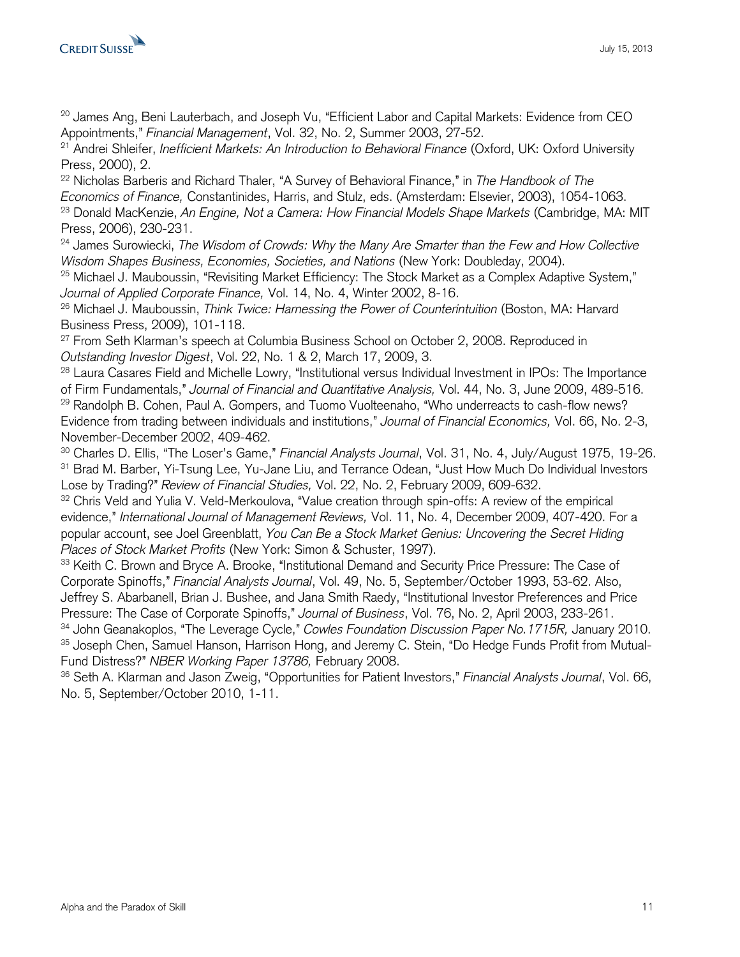$20$  James Ang, Beni Lauterbach, and Joseph Vu, "Efficient Labor and Capital Markets: Evidence from CEO Appointments," *Financial Management*, Vol. 32, No. 2, Summer 2003, 27-52.

<sup>21</sup> Andrei Shleifer, *Inefficient Markets: An Introduction to Behavioral Finance* (Oxford, UK: Oxford University Press, 2000), 2.

<sup>22</sup> Nicholas Barberis and Richard Thaler, "A Survey of Behavioral Finance," in *The Handbook of The Economics of Finance,* Constantinides, Harris, and Stulz, eds. (Amsterdam: Elsevier, 2003), 1054-1063. <sup>23</sup> Donald MacKenzie, *An Engine, Not a Camera: How Financial Models Shape Markets* (Cambridge, MA: MIT Press, 2006), 230-231.

<sup>24</sup> James Surowiecki, *The Wisdom of Crowds: Why the Many Are Smarter than the Few and How Collective Wisdom Shapes Business, Economies, Societies, and Nations* (New York: Doubleday, 2004).

<sup>25</sup> Michael J. Mauboussin, "Revisiting Market Efficiency: The Stock Market as a Complex Adaptive System," *Journal of Applied Corporate Finance,* Vol. 14, No. 4, Winter 2002, 8-16.

<sup>26</sup> Michael J. Mauboussin, *Think Twice: Harnessing the Power of Counterintuition* (Boston, MA: Harvard Business Press, 2009), 101-118.

 $27$  From Seth Klarman's speech at Columbia Business School on October 2, 2008. Reproduced in *Outstanding Investor Digest*, Vol. 22, No. 1 & 2, March 17, 2009, 3.

<sup>28</sup> Laura Casares Field and Michelle Lowry, "Institutional versus Individual Investment in IPOs: The Importance of Firm Fundamentals," *Journal of Financial and Quantitative Analysis,* Vol. 44, No. 3, June 2009, 489-516. <sup>29</sup> Randolph B. Cohen, Paul A. Gompers, and Tuomo Vuolteenaho, "Who underreacts to cash-flow news? Evidence from trading between individuals and institutions," *Journal of Financial Economics,* Vol. 66, No. 2-3, November-December 2002, 409-462.

<sup>30</sup> Charles D. Ellis, "The Loser's Game," *Financial Analysts Journal*, Vol. 31, No. 4, July/August 1975, 19-26. <sup>31</sup> Brad M. Barber, Yi-Tsung Lee, Yu-Jane Liu, and Terrance Odean, "Just How Much Do Individual Investors Lose by Trading?" *Review of Financial Studies,* Vol. 22, No. 2, February 2009, 609-632.

32 Chris Veld and Yulia V. Veld-Merkoulova, "Value creation through spin-offs: A review of the empirical evidence," *International Journal of Management Reviews,* Vol. 11, No. 4, December 2009, 407-420. For a popular account, see Joel Greenblatt, *You Can Be a Stock Market Genius: Uncovering the Secret Hiding Places of Stock Market Profits* (New York: Simon & Schuster, 1997).

<sup>33</sup> Keith C. Brown and Bryce A. Brooke, "Institutional Demand and Security Price Pressure: The Case of Corporate Spinoffs," *Financial Analysts Journal*, Vol. 49, No. 5, September/October 1993, 53-62. Also, Jeffrey S. Abarbanell, Brian J. Bushee, and Jana Smith Raedy, "Institutional Investor Preferences and Price Pressure: The Case of Corporate Spinoffs," *Journal of Business*, Vol. 76, No. 2, April 2003, 233-261.

<sup>34</sup> John Geanakoplos, "The Leverage Cycle," *Cowles Foundation Discussion Paper No.1715R,* January 2010. 35 Joseph Chen, Samuel Hanson, Harrison Hong, and Jeremy C. Stein, "Do Hedge Funds Profit from Mutual-Fund Distress?" *NBER Working Paper 13786,* February 2008.

<sup>36</sup> Seth A. Klarman and Jason Zweig, "Opportunities for Patient Investors," *Financial Analysts Journal*, Vol. 66, No. 5, September/October 2010, 1-11.